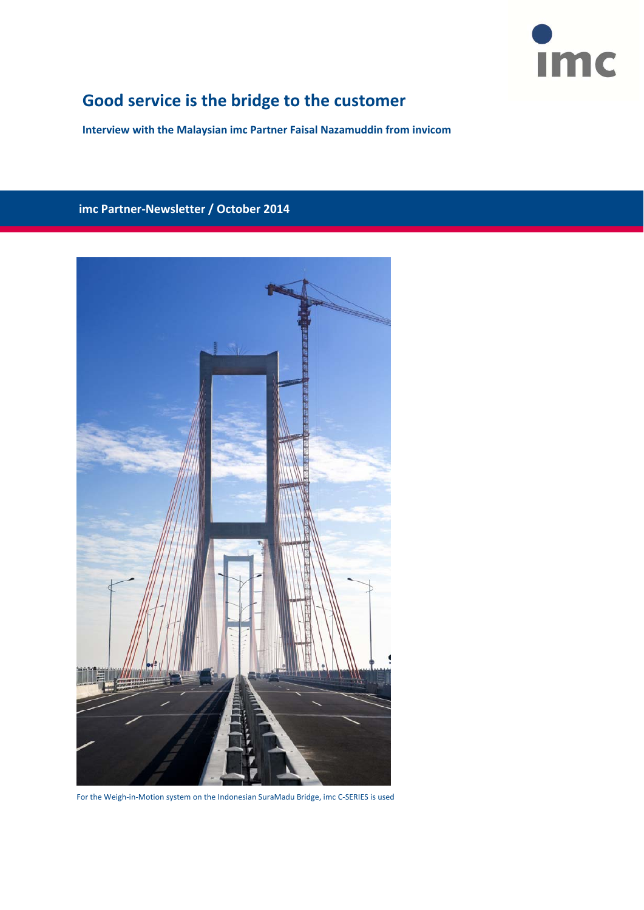

# **Good service is the bridge to the customer**

**Interview with the Malaysian imc Partner Faisal Nazamuddin from invicom**

# **imc Partner‐Newsletter / October 2014**



For the Weigh‐in‐Motion system on the Indonesian SuraMadu Bridge, imc C‐SERIES is used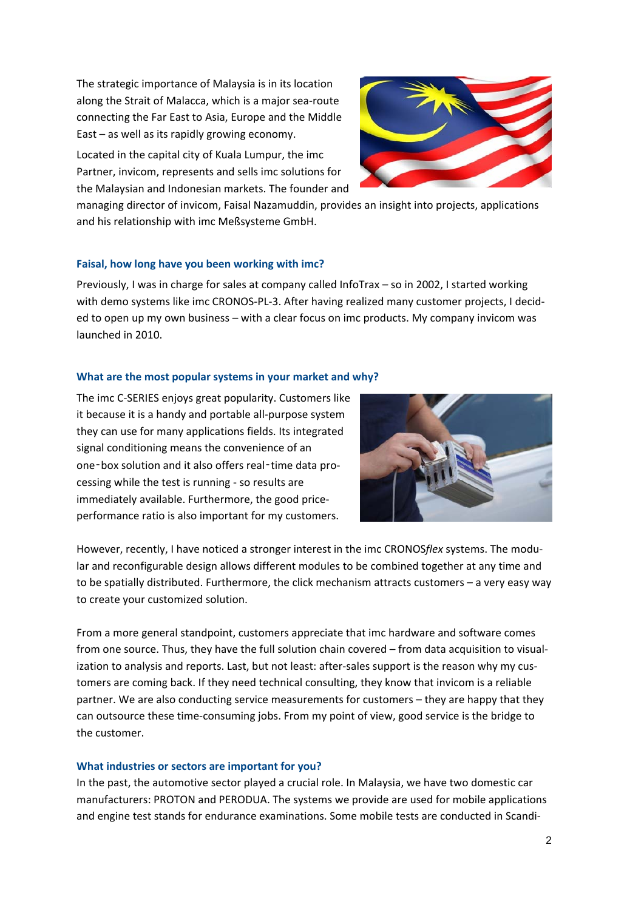The strategic importance of Malaysia is in its location along the Strait of Malacca, which is a major sea‐route connecting the Far East to Asia, Europe and the Middle East – as well as its rapidly growing economy.

Located in the capital city of Kuala Lumpur, the imc Partner, invicom, represents and sells imc solutions for the Malaysian and Indonesian markets. The founder and



managing director of invicom, Faisal Nazamuddin, provides an insight into projects, applications and his relationship with imc Meßsysteme GmbH.

#### **Faisal, how long have you been working with imc?**

Previously, I was in charge for sales at company called InfoTrax – so in 2002, I started working with demo systems like imc CRONOS-PL-3. After having realized many customer projects, I decided to open up my own business – with a clear focus on imc products. My company invicom was launched in 2010.

#### **What are the most popular systems in your market and why?**

The imc C‐SERIES enjoys great popularity. Customers like it because it is a handy and portable all‐purpose system they can use for many applications fields. Its integrated signal conditioning means the convenience of an one-box solution and it also offers real-time data processing while the test is running ‐ so results are immediately available. Furthermore, the good priceperformance ratio is also important for my customers.



However, recently, I have noticed a stronger interest in the imc CRONOS*flex* systems. The modu‐ lar and reconfigurable design allows different modules to be combined together at any time and to be spatially distributed. Furthermore, the click mechanism attracts customers – a very easy way to create your customized solution.

From a more general standpoint, customers appreciate that imc hardware and software comes from one source. Thus, they have the full solution chain covered – from data acquisition to visualization to analysis and reports. Last, but not least: after-sales support is the reason why my customers are coming back. If they need technical consulting, they know that invicom is a reliable partner. We are also conducting service measurements for customers – they are happy that they can outsource these time-consuming jobs. From my point of view, good service is the bridge to the customer.

#### **What industries or sectors are important for you?**

In the past, the automotive sector played a crucial role. In Malaysia, we have two domestic car manufacturers: PROTON and PERODUA. The systems we provide are used for mobile applications and engine test stands for endurance examinations. Some mobile tests are conducted in Scandi‐